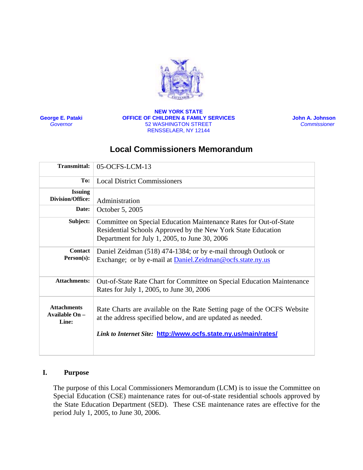

**George E. Pataki** *Governor*

#### **NEW YORK STATE OFFICE OF CHILDREN & FAMILY SERVICES** 52 WASHINGTON STREET RENSSELAER, NY 12144

**John A. Johnson**   *Commissioner* 

# **Local Commissioners Memorandum**

| 05-OCFS-LCM-13                                                                                                                                                                                         |
|--------------------------------------------------------------------------------------------------------------------------------------------------------------------------------------------------------|
| <b>Local District Commissioners</b>                                                                                                                                                                    |
| Administration                                                                                                                                                                                         |
| October 5, 2005                                                                                                                                                                                        |
| Committee on Special Education Maintenance Rates for Out-of-State<br>Residential Schools Approved by the New York State Education<br>Department for July 1, 2005, to June 30, 2006                     |
| Daniel Zeidman (518) 474-1384; or by e-mail through Outlook or<br>Exchange; or by e-mail at <b>Daniel.Zeidman@ocfs.state.ny.us</b>                                                                     |
| Out-of-State Rate Chart for Committee on Special Education Maintenance<br>Rates for July 1, 2005, to June 30, 2006                                                                                     |
| Rate Charts are available on the Rate Setting page of the OCFS Website<br>at the address specified below, and are updated as needed.<br>Link to Internet Site: http://www.ocfs.state.ny.us/main/rates/ |
|                                                                                                                                                                                                        |

### **I. Purpose**

The purpose of this Local Commissioners Memorandum (LCM) is to issue the Committee on Special Education (CSE) maintenance rates for out-of-state residential schools approved by the State Education Department (SED). These CSE maintenance rates are effective for the period July 1, 2005, to June 30, 2006.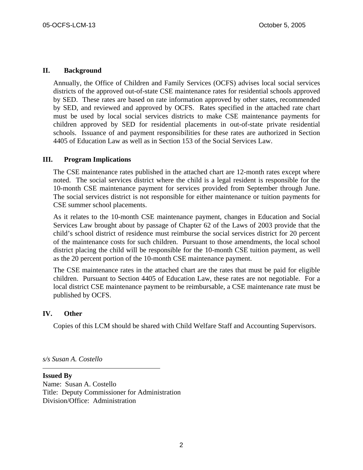#### **II. Background**

Annually, the Office of Children and Family Services (OCFS) advises local social services districts of the approved out-of-state CSE maintenance rates for residential schools approved by SED. These rates are based on rate information approved by other states, recommended by SED, and reviewed and approved by OCFS. Rates specified in the attached rate chart must be used by local social services districts to make CSE maintenance payments for children approved by SED for residential placements in out-of-state private residential schools. Issuance of and payment responsibilities for these rates are authorized in Section 4405 of Education Law as well as in Section 153 of the Social Services Law.

#### **III. Program Implications**

The CSE maintenance rates published in the attached chart are 12-month rates except where noted. The social services district where the child is a legal resident is responsible for the 10-month CSE maintenance payment for services provided from September through June. The social services district is not responsible for either maintenance or tuition payments for CSE summer school placements.

As it relates to the 10-month CSE maintenance payment, changes in Education and Social Services Law brought about by passage of Chapter 62 of the Laws of 2003 provide that the child's school district of residence must reimburse the social services district for 20 percent of the maintenance costs for such children. Pursuant to those amendments, the local school district placing the child will be responsible for the 10-month CSE tuition payment, as well as the 20 percent portion of the 10-month CSE maintenance payment.

The CSE maintenance rates in the attached chart are the rates that must be paid for eligible children. Pursuant to Section 4405 of Education Law, these rates are not negotiable. For a local district CSE maintenance payment to be reimbursable, a CSE maintenance rate must be published by OCFS.

#### **IV. Other**

Copies of this LCM should be shared with Child Welfare Staff and Accounting Supervisors.

*s/s Susan A. Costello* 

**Issued By**  Name: Susan A. Costello Title: Deputy Commissioner for Administration Division/Office: Administration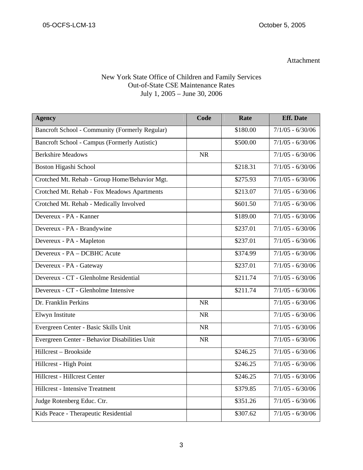# Attachment

## New York State Office of Children and Family Services Out-of-State CSE Maintenance Rates July 1, 2005 – June 30, 2006

| <b>Agency</b>                                         | Code      | Rate     | <b>Eff.</b> Date   |
|-------------------------------------------------------|-----------|----------|--------------------|
| <b>Bancroft School - Community (Formerly Regular)</b> |           | \$180.00 | $7/1/05 - 6/30/06$ |
| Bancroft School - Campus (Formerly Autistic)          |           | \$500.00 | $7/1/05 - 6/30/06$ |
| <b>Berkshire Meadows</b>                              | <b>NR</b> |          | $7/1/05 - 6/30/06$ |
| Boston Higashi School                                 |           | \$218.31 | $7/1/05 - 6/30/06$ |
| Crotched Mt. Rehab - Group Home/Behavior Mgt.         |           | \$275.93 | $7/1/05 - 6/30/06$ |
| Crotched Mt. Rehab - Fox Meadows Apartments           |           | \$213.07 | $7/1/05 - 6/30/06$ |
| Crotched Mt. Rehab - Medically Involved               |           | \$601.50 | $7/1/05 - 6/30/06$ |
| Devereux - PA - Kanner                                |           | \$189.00 | $7/1/05 - 6/30/06$ |
| Devereux - PA - Brandywine                            |           | \$237.01 | $7/1/05 - 6/30/06$ |
| Devereux - PA - Mapleton                              |           | \$237.01 | $7/1/05 - 6/30/06$ |
| Devereux - PA - DCBHC Acute                           |           | \$374.99 | $7/1/05 - 6/30/06$ |
| Devereux - PA - Gateway                               |           | \$237.01 | $7/1/05 - 6/30/06$ |
| Devereux - CT - Glenholme Residential                 |           | \$211.74 | $7/1/05 - 6/30/06$ |
| Devereux - CT - Glenholme Intensive                   |           | \$211.74 | $7/1/05 - 6/30/06$ |
| Dr. Franklin Perkins                                  | <b>NR</b> |          | $7/1/05 - 6/30/06$ |
| Elwyn Institute                                       | <b>NR</b> |          | $7/1/05 - 6/30/06$ |
| Evergreen Center - Basic Skills Unit                  | <b>NR</b> |          | $7/1/05 - 6/30/06$ |
| Evergreen Center - Behavior Disabilities Unit         | <b>NR</b> |          | $7/1/05 - 6/30/06$ |
| Hillcrest - Brookside                                 |           | \$246.25 | $7/1/05 - 6/30/06$ |
| Hillcrest - High Point                                |           | \$246.25 | $7/1/05 - 6/30/06$ |
| Hillcrest - Hillcrest Center                          |           | \$246.25 | $7/1/05 - 6/30/06$ |
| <b>Hillcrest - Intensive Treatment</b>                |           | \$379.85 | $7/1/05 - 6/30/06$ |
| Judge Rotenberg Educ. Ctr.                            |           | \$351.26 | $7/1/05 - 6/30/06$ |
| Kids Peace - Therapeutic Residential                  |           | \$307.62 | $7/1/05 - 6/30/06$ |